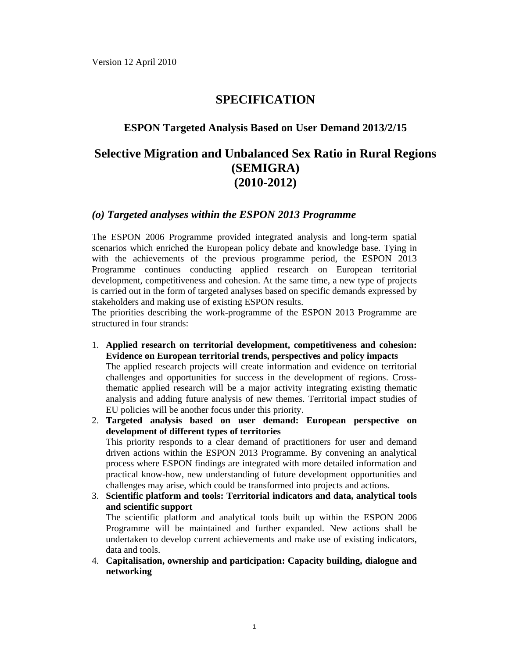# **SPECIFICATION**

### **ESPON Targeted Analysis Based on User Demand 2013/2/15**

# **Selective Migration and Unbalanced Sex Ratio in Rural Regions (SEMIGRA) (2010-2012)**

### *(o) Targeted analyses within the ESPON 2013 Programme*

The ESPON 2006 Programme provided integrated analysis and long-term spatial scenarios which enriched the European policy debate and knowledge base. Tying in with the achievements of the previous programme period, the ESPON 2013 Programme continues conducting applied research on European territorial development, competitiveness and cohesion. At the same time, a new type of projects is carried out in the form of targeted analyses based on specific demands expressed by stakeholders and making use of existing ESPON results.

The priorities describing the work-programme of the ESPON 2013 Programme are structured in four strands:

- 1. **Applied research on territorial development, competitiveness and cohesion: Evidence on European territorial trends, perspectives and policy impacts** The applied research projects will create information and evidence on territorial challenges and opportunities for success in the development of regions. Crossthematic applied research will be a major activity integrating existing thematic analysis and adding future analysis of new themes. Territorial impact studies of EU policies will be another focus under this priority.
- 2. **Targeted analysis based on user demand: European perspective on development of different types of territories** This priority responds to a clear demand of practitioners for user and demand driven actions within the ESPON 2013 Programme. By convening an analytical process where ESPON findings are integrated with more detailed information and practical know-how, new understanding of future development opportunities and challenges may arise, which could be transformed into projects and actions.
- 3. **Scientific platform and tools: Territorial indicators and data, analytical tools and scientific support**

The scientific platform and analytical tools built up within the ESPON 2006 Programme will be maintained and further expanded. New actions shall be undertaken to develop current achievements and make use of existing indicators, data and tools.

4. **Capitalisation, ownership and participation: Capacity building, dialogue and networking**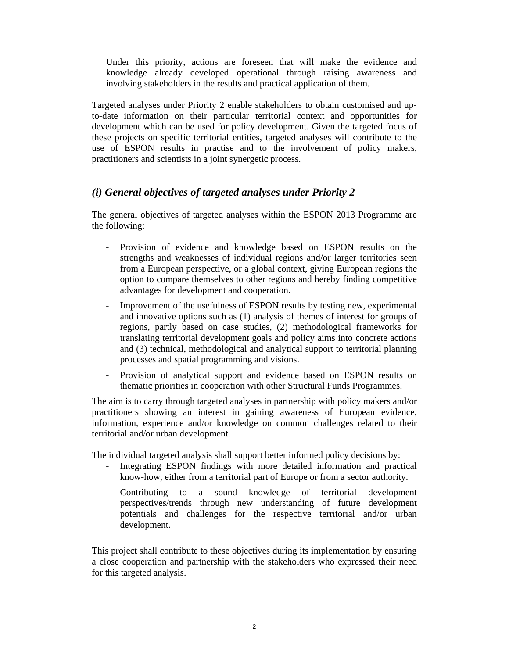Under this priority, actions are foreseen that will make the evidence and knowledge already developed operational through raising awareness and involving stakeholders in the results and practical application of them.

Targeted analyses under Priority 2 enable stakeholders to obtain customised and upto-date information on their particular territorial context and opportunities for development which can be used for policy development. Given the targeted focus of these projects on specific territorial entities, targeted analyses will contribute to the use of ESPON results in practise and to the involvement of policy makers, practitioners and scientists in a joint synergetic process.

## *(i) General objectives of targeted analyses under Priority 2*

The general objectives of targeted analyses within the ESPON 2013 Programme are the following:

- Provision of evidence and knowledge based on ESPON results on the strengths and weaknesses of individual regions and/or larger territories seen from a European perspective, or a global context, giving European regions the option to compare themselves to other regions and hereby finding competitive advantages for development and cooperation.
- Improvement of the usefulness of ESPON results by testing new, experimental and innovative options such as (1) analysis of themes of interest for groups of regions, partly based on case studies, (2) methodological frameworks for translating territorial development goals and policy aims into concrete actions and (3) technical, methodological and analytical support to territorial planning processes and spatial programming and visions.
- Provision of analytical support and evidence based on ESPON results on thematic priorities in cooperation with other Structural Funds Programmes.

The aim is to carry through targeted analyses in partnership with policy makers and/or practitioners showing an interest in gaining awareness of European evidence, information, experience and/or knowledge on common challenges related to their territorial and/or urban development.

The individual targeted analysis shall support better informed policy decisions by:

- Integrating ESPON findings with more detailed information and practical know-how, either from a territorial part of Europe or from a sector authority.
- Contributing to a sound knowledge of territorial development perspectives/trends through new understanding of future development potentials and challenges for the respective territorial and/or urban development.

This project shall contribute to these objectives during its implementation by ensuring a close cooperation and partnership with the stakeholders who expressed their need for this targeted analysis.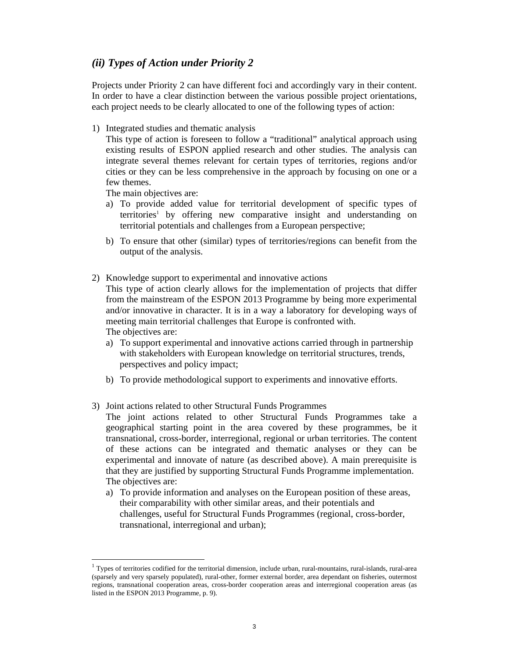### *(ii) Types of Action under Priority 2*

Projects under Priority 2 can have different foci and accordingly vary in their content. In order to have a clear distinction between the various possible project orientations, each project needs to be clearly allocated to one of the following types of action:

1) Integrated studies and thematic analysis

This type of action is foreseen to follow a "traditional" analytical approach using existing results of ESPON applied research and other studies. The analysis can integrate several themes relevant for certain types of territories, regions and/or cities or they can be less comprehensive in the approach by focusing on one or a few themes.

The main objectives are:

- a) To provide added value for territorial development of specific types of territories<sup>1</sup> by offering new comparative insight and understanding on territorial potentials and challenges from a European perspective;
- b) To ensure that other (similar) types of territories/regions can benefit from the output of the analysis.
- 2) Knowledge support to experimental and innovative actions This type of action clearly allows for the implementation of projects that differ from the mainstream of the ESPON 2013 Programme by being more experimental and/or innovative in character. It is in a way a laboratory for developing ways of meeting main territorial challenges that Europe is confronted with. The objectives are:
	- a) To support experimental and innovative actions carried through in partnership with stakeholders with European knowledge on territorial structures, trends, perspectives and policy impact;
	- b) To provide methodological support to experiments and innovative efforts.
- 3) Joint actions related to other Structural Funds Programmes
	- The joint actions related to other Structural Funds Programmes take a geographical starting point in the area covered by these programmes, be it transnational, cross-border, interregional, regional or urban territories. The content of these actions can be integrated and thematic analyses or they can be experimental and innovate of nature (as described above). A main prerequisite is that they are justified by supporting Structural Funds Programme implementation. The objectives are:
	- a) To provide information and analyses on the European position of these areas, their comparability with other similar areas, and their potentials and challenges, useful for Structural Funds Programmes (regional, cross-border, transnational, interregional and urban);

 $1$  Types of territories codified for the territorial dimension, include urban, rural-mountains, rural-islands, rural-area (sparsely and very sparsely populated), rural-other, former external border, area dependant on fisheries, outermost regions, transnational cooperation areas, cross-border cooperation areas and interregional cooperation areas (as listed in the ESPON 2013 Programme, p. 9).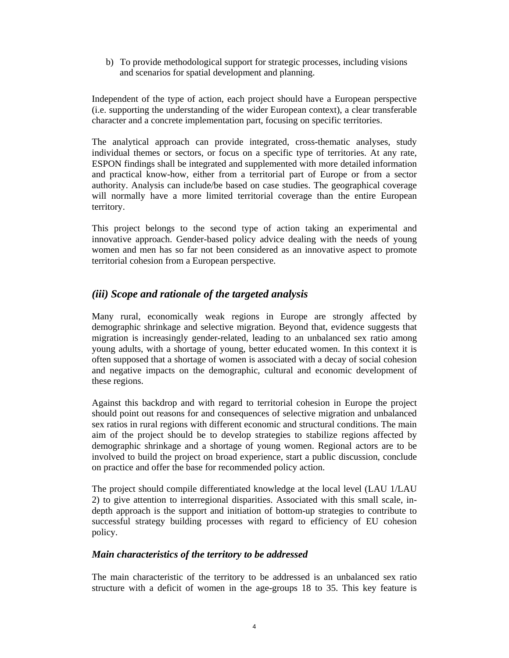b) To provide methodological support for strategic processes, including visions and scenarios for spatial development and planning.

Independent of the type of action, each project should have a European perspective (i.e. supporting the understanding of the wider European context), a clear transferable character and a concrete implementation part, focusing on specific territories.

The analytical approach can provide integrated, cross-thematic analyses, study individual themes or sectors, or focus on a specific type of territories. At any rate, ESPON findings shall be integrated and supplemented with more detailed information and practical know-how, either from a territorial part of Europe or from a sector authority. Analysis can include/be based on case studies. The geographical coverage will normally have a more limited territorial coverage than the entire European territory.

This project belongs to the second type of action taking an experimental and innovative approach. Gender-based policy advice dealing with the needs of young women and men has so far not been considered as an innovative aspect to promote territorial cohesion from a European perspective.

### *(iii) Scope and rationale of the targeted analysis*

Many rural, economically weak regions in Europe are strongly affected by demographic shrinkage and selective migration. Beyond that, evidence suggests that migration is increasingly gender-related, leading to an unbalanced sex ratio among young adults, with a shortage of young, better educated women. In this context it is often supposed that a shortage of women is associated with a decay of social cohesion and negative impacts on the demographic, cultural and economic development of these regions.

Against this backdrop and with regard to territorial cohesion in Europe the project should point out reasons for and consequences of selective migration and unbalanced sex ratios in rural regions with different economic and structural conditions. The main aim of the project should be to develop strategies to stabilize regions affected by demographic shrinkage and a shortage of young women. Regional actors are to be involved to build the project on broad experience, start a public discussion, conclude on practice and offer the base for recommended policy action.

The project should compile differentiated knowledge at the local level (LAU 1/LAU 2) to give attention to interregional disparities. Associated with this small scale, indepth approach is the support and initiation of bottom-up strategies to contribute to successful strategy building processes with regard to efficiency of EU cohesion policy.

### *Main characteristics of the territory to be addressed*

The main characteristic of the territory to be addressed is an unbalanced sex ratio structure with a deficit of women in the age-groups 18 to 35. This key feature is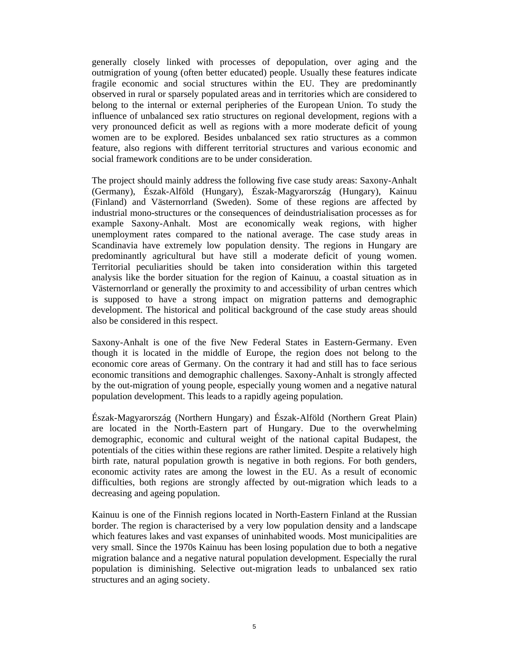generally closely linked with processes of depopulation, over aging and the outmigration of young (often better educated) people. Usually these features indicate fragile economic and social structures within the EU. They are predominantly observed in rural or sparsely populated areas and in territories which are considered to belong to the internal or external peripheries of the European Union. To study the influence of unbalanced sex ratio structures on regional development, regions with a very pronounced deficit as well as regions with a more moderate deficit of young women are to be explored. Besides unbalanced sex ratio structures as a common feature, also regions with different territorial structures and various economic and social framework conditions are to be under consideration.

The project should mainly address the following five case study areas: Saxony-Anhalt (Germany), Észak-Alföld (Hungary), Észak-Magyarország (Hungary), Kainuu (Finland) and Västernorrland (Sweden). Some of these regions are affected by industrial mono-structures or the consequences of deindustrialisation processes as for example Saxony-Anhalt. Most are economically weak regions, with higher unemployment rates compared to the national average. The case study areas in Scandinavia have extremely low population density. The regions in Hungary are predominantly agricultural but have still a moderate deficit of young women. Territorial peculiarities should be taken into consideration within this targeted analysis like the border situation for the region of Kainuu, a coastal situation as in Västernorrland or generally the proximity to and accessibility of urban centres which is supposed to have a strong impact on migration patterns and demographic development. The historical and political background of the case study areas should also be considered in this respect.

Saxony-Anhalt is one of the five New Federal States in Eastern-Germany. Even though it is located in the middle of Europe, the region does not belong to the economic core areas of Germany. On the contrary it had and still has to face serious economic transitions and demographic challenges. Saxony-Anhalt is strongly affected by the out-migration of young people, especially young women and a negative natural population development. This leads to a rapidly ageing population.

Észak-Magyarország (Northern Hungary) and Észak-Alföld (Northern Great Plain) are located in the North-Eastern part of Hungary. Due to the overwhelming demographic, economic and cultural weight of the national capital Budapest, the potentials of the cities within these regions are rather limited. Despite a relatively high birth rate, natural population growth is negative in both regions. For both genders, economic activity rates are among the lowest in the EU. As a result of economic difficulties, both regions are strongly affected by out-migration which leads to a decreasing and ageing population.

Kainuu is one of the Finnish regions located in North-Eastern Finland at the Russian border. The region is characterised by a very low population density and a landscape which features lakes and vast expanses of uninhabited woods. Most municipalities are very small. Since the 1970s Kainuu has been losing population due to both a negative migration balance and a negative natural population development. Especially the rural population is diminishing. Selective out-migration leads to unbalanced sex ratio structures and an aging society.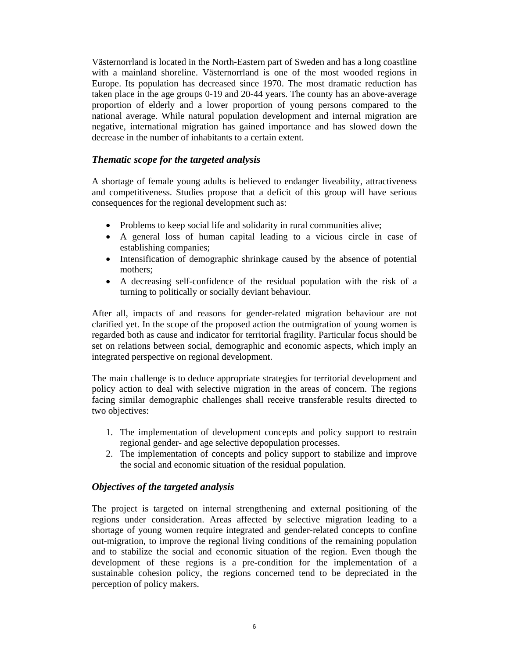Västernorrland is located in the North-Eastern part of Sweden and has a long coastline with a mainland shoreline. Västernorrland is one of the most wooded regions in Europe. Its population has decreased since 1970. The most dramatic reduction has taken place in the age groups 0-19 and 20-44 years. The county has an above-average proportion of elderly and a lower proportion of young persons compared to the national average. While natural population development and internal migration are negative, international migration has gained importance and has slowed down the decrease in the number of inhabitants to a certain extent.

#### *Thematic scope for the targeted analysis*

A shortage of female young adults is believed to endanger liveability, attractiveness and competitiveness. Studies propose that a deficit of this group will have serious consequences for the regional development such as:

- Problems to keep social life and solidarity in rural communities alive;
- A general loss of human capital leading to a vicious circle in case of establishing companies;
- Intensification of demographic shrinkage caused by the absence of potential mothers;
- A decreasing self-confidence of the residual population with the risk of a turning to politically or socially deviant behaviour.

After all, impacts of and reasons for gender-related migration behaviour are not clarified yet. In the scope of the proposed action the outmigration of young women is regarded both as cause and indicator for territorial fragility. Particular focus should be set on relations between social, demographic and economic aspects, which imply an integrated perspective on regional development.

The main challenge is to deduce appropriate strategies for territorial development and policy action to deal with selective migration in the areas of concern. The regions facing similar demographic challenges shall receive transferable results directed to two objectives:

- 1. The implementation of development concepts and policy support to restrain regional gender- and age selective depopulation processes.
- 2. The implementation of concepts and policy support to stabilize and improve the social and economic situation of the residual population.

### *Objectives of the targeted analysis*

The project is targeted on internal strengthening and external positioning of the regions under consideration. Areas affected by selective migration leading to a shortage of young women require integrated and gender-related concepts to confine out-migration, to improve the regional living conditions of the remaining population and to stabilize the social and economic situation of the region. Even though the development of these regions is a pre-condition for the implementation of a sustainable cohesion policy, the regions concerned tend to be depreciated in the perception of policy makers.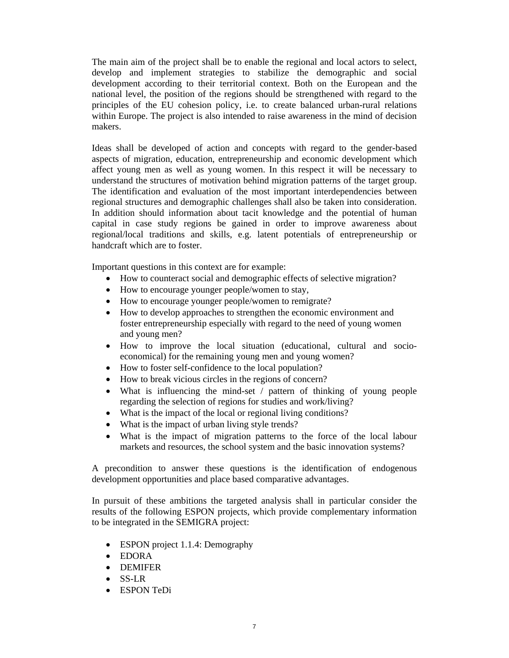The main aim of the project shall be to enable the regional and local actors to select, develop and implement strategies to stabilize the demographic and social development according to their territorial context. Both on the European and the national level, the position of the regions should be strengthened with regard to the principles of the EU cohesion policy, i.e. to create balanced urban-rural relations within Europe. The project is also intended to raise awareness in the mind of decision makers.

Ideas shall be developed of action and concepts with regard to the gender-based aspects of migration, education, entrepreneurship and economic development which affect young men as well as young women. In this respect it will be necessary to understand the structures of motivation behind migration patterns of the target group. The identification and evaluation of the most important interdependencies between regional structures and demographic challenges shall also be taken into consideration. In addition should information about tacit knowledge and the potential of human capital in case study regions be gained in order to improve awareness about regional/local traditions and skills, e.g. latent potentials of entrepreneurship or handcraft which are to foster.

Important questions in this context are for example:

- How to counteract social and demographic effects of selective migration?
- How to encourage younger people/women to stay,
- How to encourage younger people/women to remigrate?
- How to develop approaches to strengthen the economic environment and foster entrepreneurship especially with regard to the need of young women and young men?
- How to improve the local situation (educational, cultural and socioeconomical) for the remaining young men and young women?
- How to foster self-confidence to the local population?
- How to break vicious circles in the regions of concern?
- What is influencing the mind-set / pattern of thinking of young people regarding the selection of regions for studies and work/living?
- What is the impact of the local or regional living conditions?
- What is the impact of urban living style trends?
- What is the impact of migration patterns to the force of the local labour markets and resources, the school system and the basic innovation systems?

A precondition to answer these questions is the identification of endogenous development opportunities and place based comparative advantages.

In pursuit of these ambitions the targeted analysis shall in particular consider the results of the following ESPON projects, which provide complementary information to be integrated in the SEMIGRA project:

- ESPON project 1.1.4: Demography
- EDORA
- DEMIFER
- SS-LR
- ESPON TeDi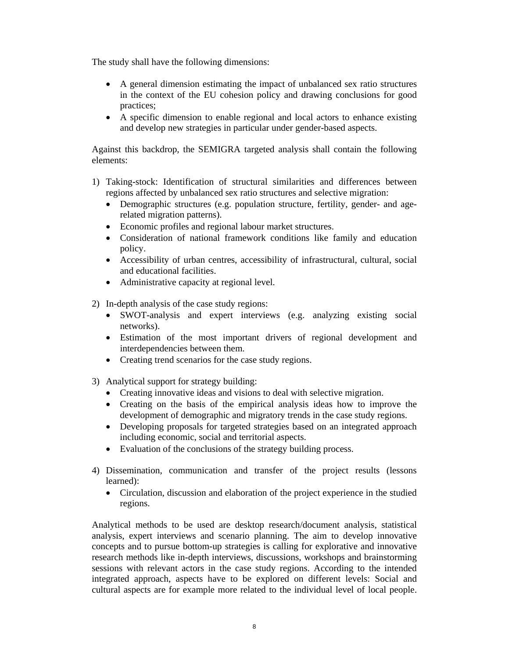The study shall have the following dimensions:

- A general dimension estimating the impact of unbalanced sex ratio structures in the context of the EU cohesion policy and drawing conclusions for good practices;
- A specific dimension to enable regional and local actors to enhance existing and develop new strategies in particular under gender-based aspects.

Against this backdrop, the SEMIGRA targeted analysis shall contain the following elements:

- 1) Taking-stock: Identification of structural similarities and differences between regions affected by unbalanced sex ratio structures and selective migration:
	- Demographic structures (e.g. population structure, fertility, gender- and agerelated migration patterns).
	- Economic profiles and regional labour market structures.
	- Consideration of national framework conditions like family and education policy.
	- Accessibility of urban centres, accessibility of infrastructural, cultural, social and educational facilities.
	- Administrative capacity at regional level.
- 2) In-depth analysis of the case study regions:
	- SWOT-analysis and expert interviews (e.g. analyzing existing social networks).
	- Estimation of the most important drivers of regional development and interdependencies between them.
	- Creating trend scenarios for the case study regions.
- 3) Analytical support for strategy building:
	- Creating innovative ideas and visions to deal with selective migration.
	- Creating on the basis of the empirical analysis ideas how to improve the development of demographic and migratory trends in the case study regions.
	- Developing proposals for targeted strategies based on an integrated approach including economic, social and territorial aspects.
	- Evaluation of the conclusions of the strategy building process.
- 4) Dissemination, communication and transfer of the project results (lessons learned):
	- Circulation, discussion and elaboration of the project experience in the studied regions.

Analytical methods to be used are desktop research/document analysis, statistical analysis, expert interviews and scenario planning. The aim to develop innovative concepts and to pursue bottom-up strategies is calling for explorative and innovative research methods like in-depth interviews, discussions, workshops and brainstorming sessions with relevant actors in the case study regions. According to the intended integrated approach, aspects have to be explored on different levels: Social and cultural aspects are for example more related to the individual level of local people.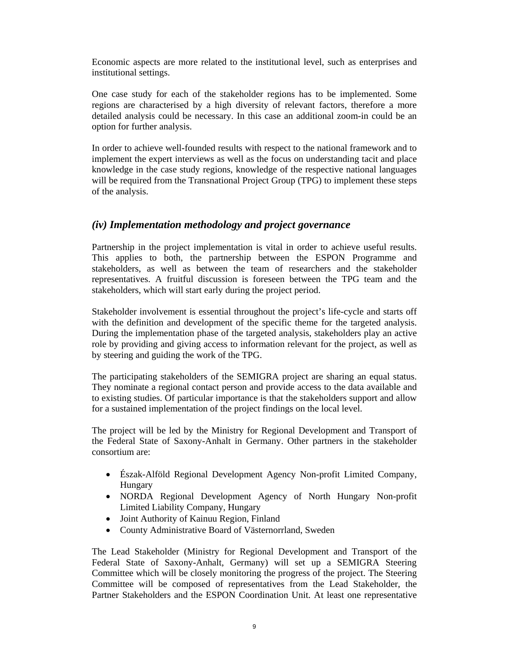Economic aspects are more related to the institutional level, such as enterprises and institutional settings.

One case study for each of the stakeholder regions has to be implemented. Some regions are characterised by a high diversity of relevant factors, therefore a more detailed analysis could be necessary. In this case an additional zoom-in could be an option for further analysis.

In order to achieve well-founded results with respect to the national framework and to implement the expert interviews as well as the focus on understanding tacit and place knowledge in the case study regions, knowledge of the respective national languages will be required from the Transnational Project Group (TPG) to implement these steps of the analysis.

### *(iv) Implementation methodology and project governance*

Partnership in the project implementation is vital in order to achieve useful results. This applies to both, the partnership between the ESPON Programme and stakeholders, as well as between the team of researchers and the stakeholder representatives. A fruitful discussion is foreseen between the TPG team and the stakeholders, which will start early during the project period.

Stakeholder involvement is essential throughout the project's life-cycle and starts off with the definition and development of the specific theme for the targeted analysis. During the implementation phase of the targeted analysis, stakeholders play an active role by providing and giving access to information relevant for the project, as well as by steering and guiding the work of the TPG.

The participating stakeholders of the SEMIGRA project are sharing an equal status. They nominate a regional contact person and provide access to the data available and to existing studies. Of particular importance is that the stakeholders support and allow for a sustained implementation of the project findings on the local level.

The project will be led by the Ministry for Regional Development and Transport of the Federal State of Saxony-Anhalt in Germany. Other partners in the stakeholder consortium are:

- Észak-Alföld Regional Development Agency Non-profit Limited Company, Hungary
- NORDA Regional Development Agency of North Hungary Non-profit Limited Liability Company, Hungary
- Joint Authority of Kainuu Region, Finland
- County Administrative Board of Västernorrland, Sweden

The Lead Stakeholder (Ministry for Regional Development and Transport of the Federal State of Saxony-Anhalt, Germany) will set up a SEMIGRA Steering Committee which will be closely monitoring the progress of the project. The Steering Committee will be composed of representatives from the Lead Stakeholder, the Partner Stakeholders and the ESPON Coordination Unit. At least one representative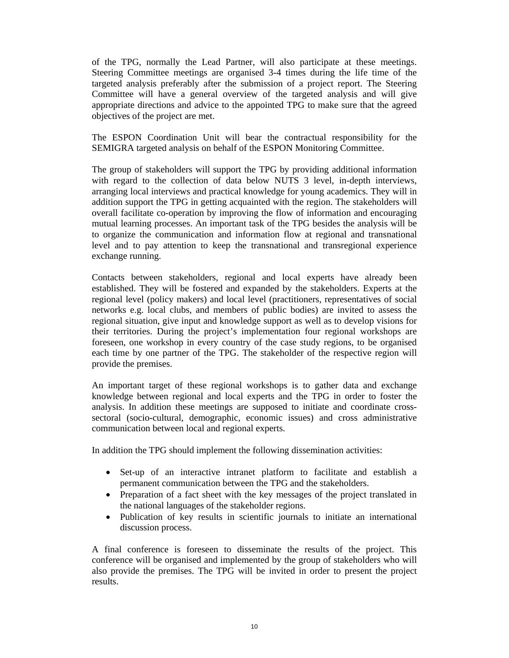of the TPG, normally the Lead Partner, will also participate at these meetings. Steering Committee meetings are organised 3-4 times during the life time of the targeted analysis preferably after the submission of a project report. The Steering Committee will have a general overview of the targeted analysis and will give appropriate directions and advice to the appointed TPG to make sure that the agreed objectives of the project are met.

The ESPON Coordination Unit will bear the contractual responsibility for the SEMIGRA targeted analysis on behalf of the ESPON Monitoring Committee.

The group of stakeholders will support the TPG by providing additional information with regard to the collection of data below NUTS 3 level, in-depth interviews, arranging local interviews and practical knowledge for young academics. They will in addition support the TPG in getting acquainted with the region. The stakeholders will overall facilitate co-operation by improving the flow of information and encouraging mutual learning processes. An important task of the TPG besides the analysis will be to organize the communication and information flow at regional and transnational level and to pay attention to keep the transnational and transregional experience exchange running.

Contacts between stakeholders, regional and local experts have already been established. They will be fostered and expanded by the stakeholders. Experts at the regional level (policy makers) and local level (practitioners, representatives of social networks e.g. local clubs, and members of public bodies) are invited to assess the regional situation, give input and knowledge support as well as to develop visions for their territories. During the project's implementation four regional workshops are foreseen, one workshop in every country of the case study regions, to be organised each time by one partner of the TPG. The stakeholder of the respective region will provide the premises.

An important target of these regional workshops is to gather data and exchange knowledge between regional and local experts and the TPG in order to foster the analysis. In addition these meetings are supposed to initiate and coordinate crosssectoral (socio-cultural, demographic, economic issues) and cross administrative communication between local and regional experts.

In addition the TPG should implement the following dissemination activities:

- Set-up of an interactive intranet platform to facilitate and establish a permanent communication between the TPG and the stakeholders.
- Preparation of a fact sheet with the key messages of the project translated in the national languages of the stakeholder regions.
- Publication of key results in scientific journals to initiate an international discussion process.

A final conference is foreseen to disseminate the results of the project. This conference will be organised and implemented by the group of stakeholders who will also provide the premises. The TPG will be invited in order to present the project results.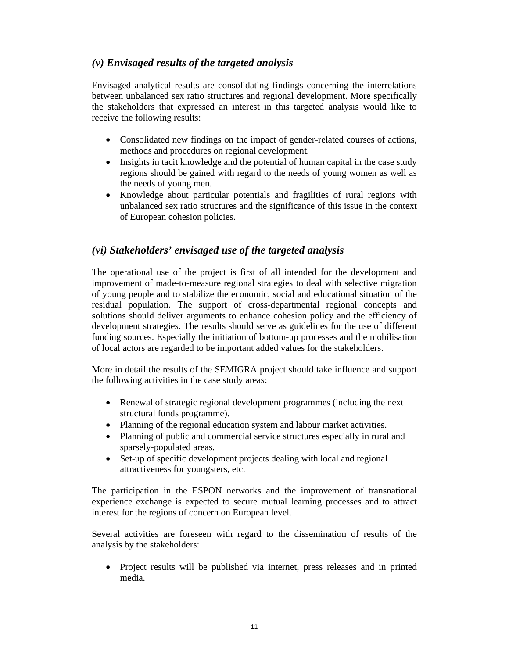## *(v) Envisaged results of the targeted analysis*

Envisaged analytical results are consolidating findings concerning the interrelations between unbalanced sex ratio structures and regional development. More specifically the stakeholders that expressed an interest in this targeted analysis would like to receive the following results:

- Consolidated new findings on the impact of gender-related courses of actions, methods and procedures on regional development.
- Insights in tacit knowledge and the potential of human capital in the case study regions should be gained with regard to the needs of young women as well as the needs of young men.
- Knowledge about particular potentials and fragilities of rural regions with unbalanced sex ratio structures and the significance of this issue in the context of European cohesion policies.

### *(vi) Stakeholders' envisaged use of the targeted analysis*

The operational use of the project is first of all intended for the development and improvement of made-to-measure regional strategies to deal with selective migration of young people and to stabilize the economic, social and educational situation of the residual population. The support of cross-departmental regional concepts and solutions should deliver arguments to enhance cohesion policy and the efficiency of development strategies. The results should serve as guidelines for the use of different funding sources. Especially the initiation of bottom-up processes and the mobilisation of local actors are regarded to be important added values for the stakeholders.

More in detail the results of the SEMIGRA project should take influence and support the following activities in the case study areas:

- Renewal of strategic regional development programmes (including the next structural funds programme).
- Planning of the regional education system and labour market activities.
- Planning of public and commercial service structures especially in rural and sparsely-populated areas.
- Set-up of specific development projects dealing with local and regional attractiveness for youngsters, etc.

The participation in the ESPON networks and the improvement of transnational experience exchange is expected to secure mutual learning processes and to attract interest for the regions of concern on European level.

Several activities are foreseen with regard to the dissemination of results of the analysis by the stakeholders:

 Project results will be published via internet, press releases and in printed media.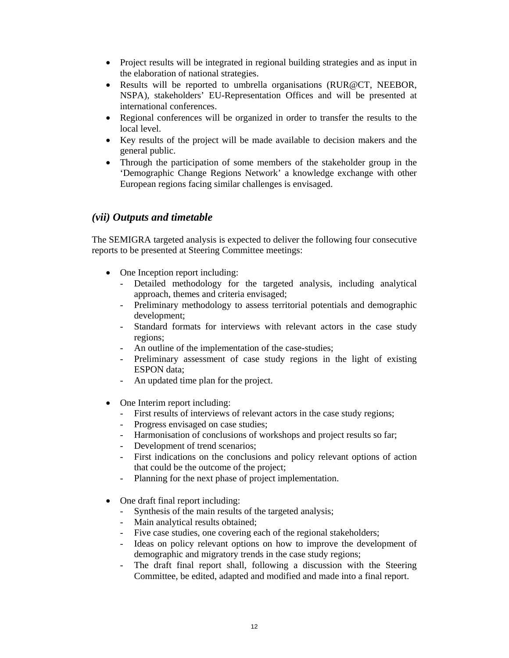- Project results will be integrated in regional building strategies and as input in the elaboration of national strategies.
- Results will be reported to umbrella organisations (RUR@CT, NEEBOR, NSPA), stakeholders' EU-Representation Offices and will be presented at international conferences.
- Regional conferences will be organized in order to transfer the results to the local level.
- Key results of the project will be made available to decision makers and the general public.
- Through the participation of some members of the stakeholder group in the 'Demographic Change Regions Network' a knowledge exchange with other European regions facing similar challenges is envisaged.

### *(vii) Outputs and timetable*

The SEMIGRA targeted analysis is expected to deliver the following four consecutive reports to be presented at Steering Committee meetings:

- One Inception report including:
	- Detailed methodology for the targeted analysis, including analytical approach, themes and criteria envisaged;
	- Preliminary methodology to assess territorial potentials and demographic development;
	- Standard formats for interviews with relevant actors in the case study regions;
	- An outline of the implementation of the case-studies;
	- Preliminary assessment of case study regions in the light of existing ESPON data;
	- An updated time plan for the project.
- One Interim report including:
	- First results of interviews of relevant actors in the case study regions;
	- Progress envisaged on case studies;
	- Harmonisation of conclusions of workshops and project results so far;
	- Development of trend scenarios;
	- First indications on the conclusions and policy relevant options of action that could be the outcome of the project;
	- Planning for the next phase of project implementation.
- One draft final report including:
	- Synthesis of the main results of the targeted analysis;
	- Main analytical results obtained;
	- Five case studies, one covering each of the regional stakeholders;
	- Ideas on policy relevant options on how to improve the development of demographic and migratory trends in the case study regions;
	- The draft final report shall, following a discussion with the Steering Committee, be edited, adapted and modified and made into a final report.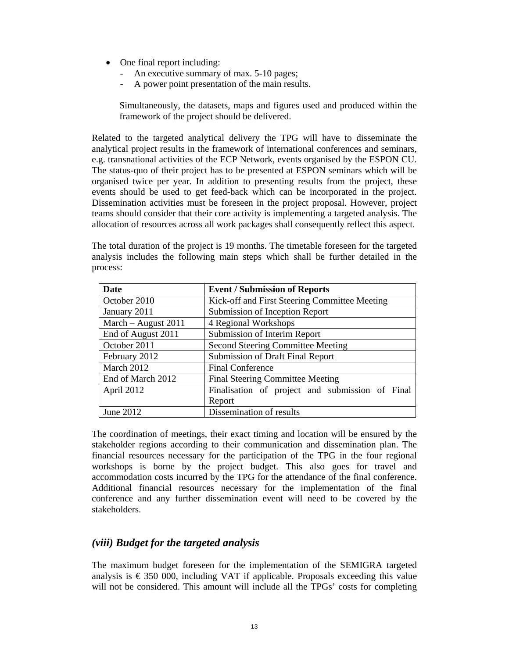- One final report including:
	- An executive summary of max. 5-10 pages;
	- A power point presentation of the main results.

Simultaneously, the datasets, maps and figures used and produced within the framework of the project should be delivered.

Related to the targeted analytical delivery the TPG will have to disseminate the analytical project results in the framework of international conferences and seminars, e.g. transnational activities of the ECP Network, events organised by the ESPON CU. The status-quo of their project has to be presented at ESPON seminars which will be organised twice per year. In addition to presenting results from the project, these events should be used to get feed-back which can be incorporated in the project. Dissemination activities must be foreseen in the project proposal. However, project teams should consider that their core activity is implementing a targeted analysis. The allocation of resources across all work packages shall consequently reflect this aspect.

The total duration of the project is 19 months. The timetable foreseen for the targeted analysis includes the following main steps which shall be further detailed in the process:

| <b>Date</b>           | <b>Event / Submission of Reports</b>            |
|-----------------------|-------------------------------------------------|
| October 2010          | Kick-off and First Steering Committee Meeting   |
| January 2011          | Submission of Inception Report                  |
| March $-$ August 2011 | 4 Regional Workshops                            |
| End of August 2011    | Submission of Interim Report                    |
| October 2011          | <b>Second Steering Committee Meeting</b>        |
| February 2012         | Submission of Draft Final Report                |
| March 2012            | <b>Final Conference</b>                         |
| End of March 2012     | <b>Final Steering Committee Meeting</b>         |
| April 2012            | Finalisation of project and submission of Final |
|                       | Report                                          |
| June 2012             | Dissemination of results                        |

The coordination of meetings, their exact timing and location will be ensured by the stakeholder regions according to their communication and dissemination plan. The financial resources necessary for the participation of the TPG in the four regional workshops is borne by the project budget. This also goes for travel and accommodation costs incurred by the TPG for the attendance of the final conference. Additional financial resources necessary for the implementation of the final conference and any further dissemination event will need to be covered by the stakeholders.

### *(viii) Budget for the targeted analysis*

The maximum budget foreseen for the implementation of the SEMIGRA targeted analysis is  $\epsilon$  350 000, including VAT if applicable. Proposals exceeding this value will not be considered. This amount will include all the TPGs' costs for completing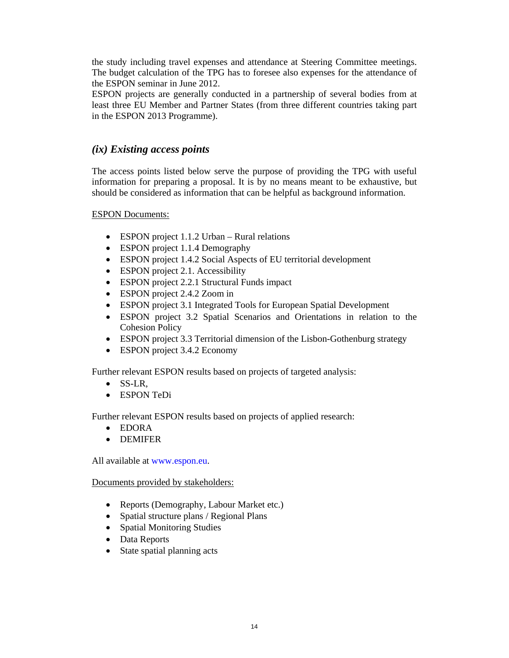the study including travel expenses and attendance at Steering Committee meetings. The budget calculation of the TPG has to foresee also expenses for the attendance of the ESPON seminar in June 2012.

ESPON projects are generally conducted in a partnership of several bodies from at least three EU Member and Partner States (from three different countries taking part in the ESPON 2013 Programme).

### *(ix) Existing access points*

The access points listed below serve the purpose of providing the TPG with useful information for preparing a proposal. It is by no means meant to be exhaustive, but should be considered as information that can be helpful as background information.

ESPON Documents:

- ESPON project 1.1.2 Urban Rural relations
- ESPON project 1.1.4 Demography
- ESPON project 1.4.2 Social Aspects of EU territorial development
- ESPON project 2.1. Accessibility
- ESPON project 2.2.1 Structural Funds impact
- ESPON project 2.4.2 Zoom in
- ESPON project 3.1 Integrated Tools for European Spatial Development
- ESPON project 3.2 Spatial Scenarios and Orientations in relation to the Cohesion Policy
- ESPON project 3.3 Territorial dimension of the Lisbon-Gothenburg strategy
- ESPON project 3.4.2 Economy

Further relevant ESPON results based on projects of targeted analysis:

- SS-LR,
- ESPON TeDi

Further relevant ESPON results based on projects of applied research:

- EDORA
- **•** DEMIFER

All available at www.espon.eu.

#### Documents provided by stakeholders:

- Reports (Demography, Labour Market etc.)
- Spatial structure plans / Regional Plans
- Spatial Monitoring Studies
- Data Reports
- State spatial planning acts